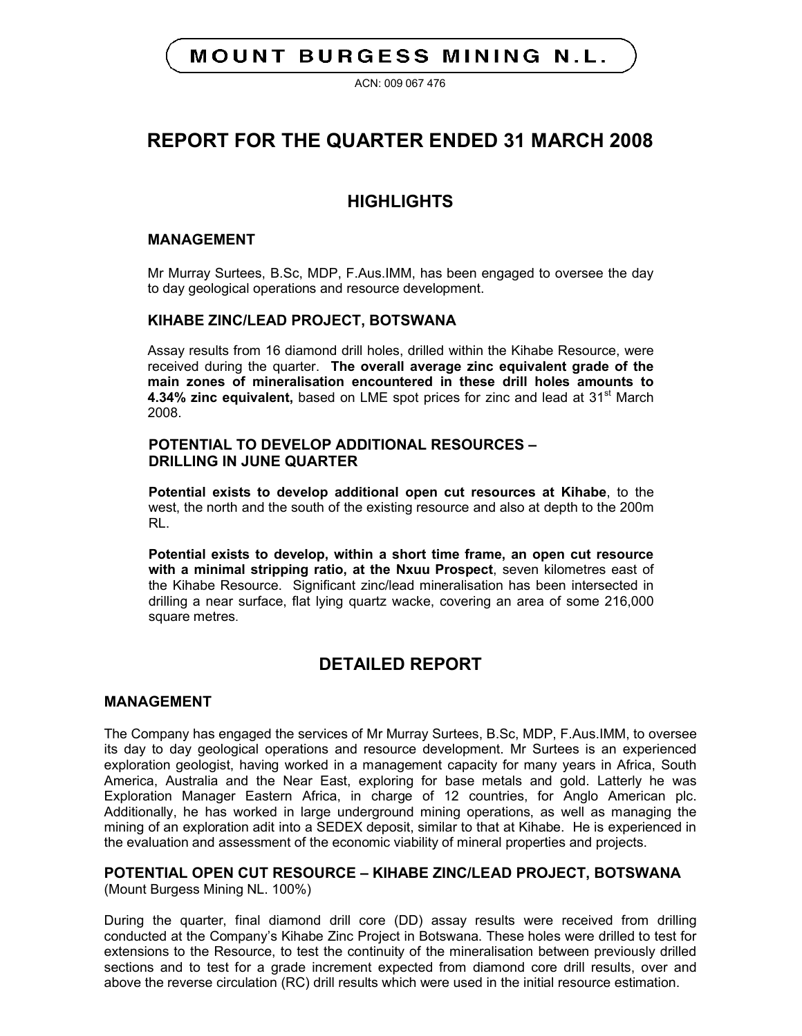# **MOUNT BURGESS MINING N.L.**

ACN: 009 067 476

# **REPORT FOR THE QUARTER ENDED 31 MARCH 2008**

# **HIGHLIGHTS**

### **MANAGEMENT**

Mr Murray Surtees, B.Sc, MDP, F.Aus.IMM, has been engaged to oversee the day to day geological operations and resource development.

## **KIHABE ZINC/LEAD PROJECT, BOTSWANA**

Assay results from 16 diamond drill holes, drilled within the Kihabe Resource, were received during the quarter. **The overall average zinc equivalent grade of the main zones of mineralisation encountered in these drill holes amounts to 4.34% zinc equivalent,** based on LME spot prices for zinc and lead at 31<sup>st</sup> March 2008.

## **POTENTIAL TO DEVELOP ADDITIONAL RESOURCES – DRILLING IN JUNE QUARTER**

**Potential exists to develop additional open cut resources at Kihabe**, to the west, the north and the south of the existing resource and also at depth to the 200m RL.

**Potential exists to develop, within a short time frame, an open cut resource with a minimal stripping ratio, at the Nxuu Prospect**, seven kilometres east of the Kihabe Resource. Significant zinc/lead mineralisation has been intersected in drilling a near surface, flat lying quartz wacke, covering an area of some 216,000 square metres.

# **DETAILED REPORT**

### **MANAGEMENT**

The Company has engaged the services of Mr Murray Surtees, B.Sc, MDP, F.Aus.IMM, to oversee its day to day geological operations and resource development. Mr Surtees is an experienced exploration geologist, having worked in a management capacity for many years in Africa, South America, Australia and the Near East, exploring for base metals and gold. Latterly he was Exploration Manager Eastern Africa, in charge of 12 countries, for Anglo American plc. Additionally, he has worked in large underground mining operations, as well as managing the mining of an exploration adit into a SEDEX deposit, similar to that at Kihabe. He is experienced in the evaluation and assessment of the economic viability of mineral properties and projects.

# **POTENTIAL OPEN CUT RESOURCE – KIHABE ZINC/LEAD PROJECT, BOTSWANA**

(Mount Burgess Mining NL. 100%)

During the quarter, final diamond drill core (DD) assay results were received from drilling conducted at the Company's Kihabe Zinc Project in Botswana. These holes were drilled to test for extensions to the Resource, to test the continuity of the mineralisation between previously drilled sections and to test for a grade increment expected from diamond core drill results, over and above the reverse circulation (RC) drill results which were used in the initial resource estimation.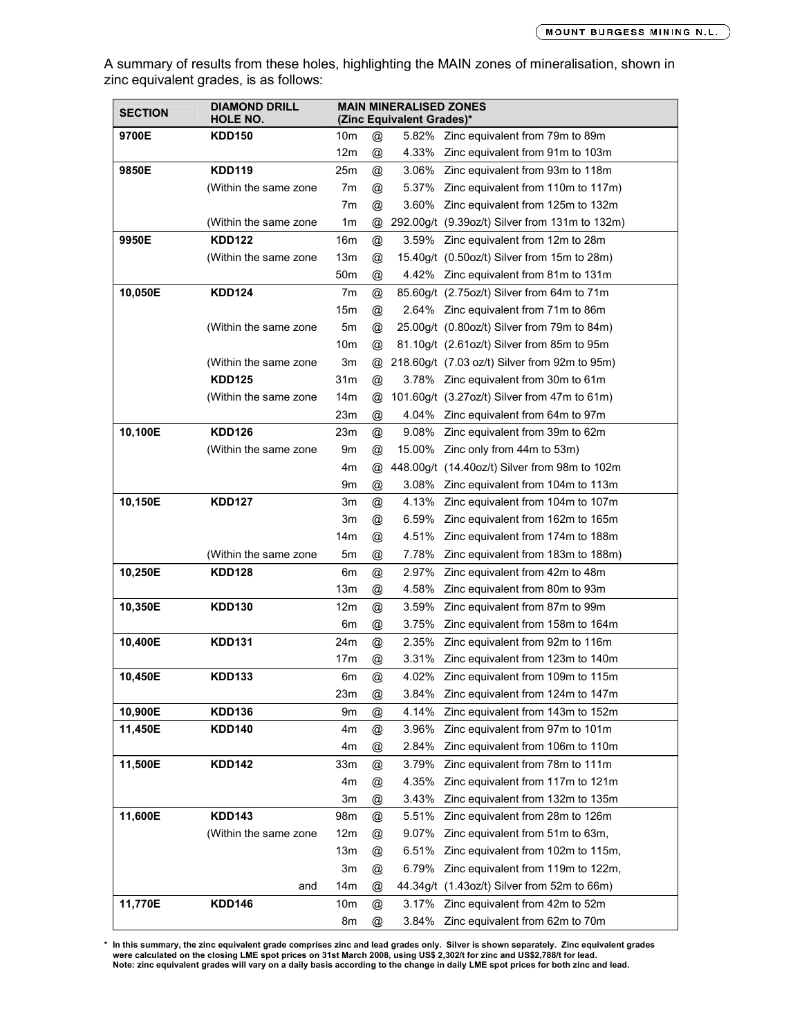A summary of results from these holes, highlighting the MAIN zones of mineralisation, shown in zinc equivalent grades, is as follows:

| <b>SECTION</b> | <b>DIAMOND DRILL</b><br>HOLE NO. |                 |                | <b>MAIN MINERALISED ZONES</b><br>(Zinc Equivalent Grades)* |                                                |
|----------------|----------------------------------|-----------------|----------------|------------------------------------------------------------|------------------------------------------------|
| 9700E          | <b>KDD150</b>                    | 10m             | @              |                                                            | 5.82% Zinc equivalent from 79m to 89m          |
|                |                                  | 12m             | @              |                                                            | 4.33% Zinc equivalent from 91m to 103m         |
| 9850E          | <b>KDD119</b>                    | 25m             | @              |                                                            | 3.06% Zinc equivalent from 93m to 118m         |
|                | (Within the same zone            | 7m              | @              |                                                            | 5.37% Zinc equivalent from 110m to 117m)       |
|                |                                  | 7m              | @              |                                                            | 3.60% Zinc equivalent from 125m to 132m        |
|                | (Within the same zone            | 1m              | @              |                                                            | 292.00g/t (9.39oz/t) Silver from 131m to 132m) |
| 9950E          | <b>KDD122</b>                    | 16m             | @              |                                                            | 3.59% Zinc equivalent from 12m to 28m          |
|                | (Within the same zone            | 13m             | @              |                                                            | 15.40g/t (0.50oz/t) Silver from 15m to 28m)    |
|                |                                  | 50m             | @              |                                                            | 4.42% Zinc equivalent from 81m to 131m         |
| 10,050E        | <b>KDD124</b>                    | 7m              | @              |                                                            | 85.60g/t (2.75oz/t) Silver from 64m to 71m     |
|                |                                  | 15m             | @              |                                                            | 2.64% Zinc equivalent from 71m to 86m          |
|                | (Within the same zone)           | 5m              | @              |                                                            | 25.00g/t (0.80oz/t) Silver from 79m to 84m)    |
|                |                                  | 10m             | $^{\circledR}$ |                                                            | 81.10g/t (2.61oz/t) Silver from 85m to 95m     |
|                | (Within the same zone            | 3m              | @              |                                                            | 218.60q/t (7.03 oz/t) Silver from 92m to 95m)  |
|                | <b>KDD125</b>                    | 31m             | @              |                                                            | 3.78% Zinc equivalent from 30m to 61m          |
|                | (Within the same zone            | 14m             | @              |                                                            | 101.60g/t (3.27oz/t) Silver from 47m to 61m)   |
|                |                                  | 23m             | @              |                                                            | 4.04% Zinc equivalent from 64m to 97m          |
| 10,100E        | <b>KDD126</b>                    | 23m             | @              |                                                            | 9.08% Zinc equivalent from 39m to 62m          |
|                | (Within the same zone            | 9m              | @              |                                                            | 15.00% Zinc only from 44m to 53m)              |
|                |                                  | 4m              | @              |                                                            | 448.00g/t (14.40oz/t) Silver from 98m to 102m  |
|                |                                  | 9m              | @              |                                                            | 3.08% Zinc equivalent from 104m to 113m        |
| 10,150E        | <b>KDD127</b>                    | 3m              | @              |                                                            | 4.13% Zinc equivalent from 104m to 107m        |
|                |                                  | Зm              | @              | 6.59%                                                      | Zinc equivalent from 162m to 165m              |
|                |                                  | 14m             | @              |                                                            | 4.51% Zinc equivalent from 174m to 188m        |
|                | (Within the same zone            | 5m              | @              | 7.78%                                                      | Zinc equivalent from 183m to 188m)             |
| 10,250E        | <b>KDD128</b>                    | 6m              | @              | 2.97%                                                      | Zinc equivalent from 42m to 48m                |
|                |                                  | 13m             | @              | 4.58%                                                      | Zinc equivalent from 80m to 93m                |
| 10,350E        | <b>KDD130</b>                    | 12m             | @              | 3.59%                                                      | Zinc equivalent from 87m to 99m                |
|                |                                  | 6m              | @              | 3.75%                                                      | Zinc equivalent from 158m to 164m              |
| 10,400E        | <b>KDD131</b>                    | 24m             | @              | 2.35%                                                      | Zinc equivalent from 92m to 116m               |
|                |                                  | 17m             | @              |                                                            | 3.31% Zinc equivalent from 123m to 140m        |
| 10,450E        | <b>KDD133</b>                    | 6m              | @              | 4.02%                                                      | Zinc equivalent from 109m to 115m              |
|                |                                  | 23m             | @              | 3.84%                                                      | Zinc equivalent from 124m to 147m              |
| 10,900E        | <b>KDD136</b>                    | 9m              | @              | 4.14%                                                      | Zinc equivalent from 143m to 152m              |
| 11,450E        | <b>KDD140</b>                    | 4m              | @              | 3.96%                                                      | Zinc equivalent from 97m to 101m               |
|                |                                  | 4m              | @              | 2.84%                                                      | Zinc equivalent from 106m to 110m              |
| 11,500E        | <b>KDD142</b>                    | 33m             | @              | 3.79%                                                      | Zinc equivalent from 78m to 111m               |
|                |                                  | 4m              | @              | 4.35%                                                      | Zinc equivalent from 117m to 121m              |
|                |                                  | 3m              | @              | 3.43%                                                      | Zinc equivalent from 132m to 135m              |
| 11,600E        | <b>KDD143</b>                    | 98m             | @              | 5.51%                                                      | Zinc equivalent from 28m to 126m               |
|                | (Within the same zone            | 12m             | @              | 9.07%                                                      | Zinc equivalent from 51m to 63m,               |
|                |                                  | 13m             | @              | 6.51%                                                      | Zinc equivalent from 102m to 115m,             |
|                |                                  | 3m              | @              | 6.79%                                                      | Zinc equivalent from 119m to 122m,             |
|                | and                              | 14 <sub>m</sub> | @              |                                                            | 44.34g/t (1.43oz/t) Silver from 52m to 66m)    |
| 11,770E        | <b>KDD146</b>                    | 10m             | @              |                                                            | 3.17% Zinc equivalent from 42m to 52m          |
|                |                                  | 8m              | @              | 3.84%                                                      | Zinc equivalent from 62m to 70m                |

h this summary, the zinc equivalent grade comprises zinc and lead grades only. Silver is shown separately. Zinc equivalent grades « were calculated on the closing LME spot prices on 31st March 2008, using US\$ 2,302/t for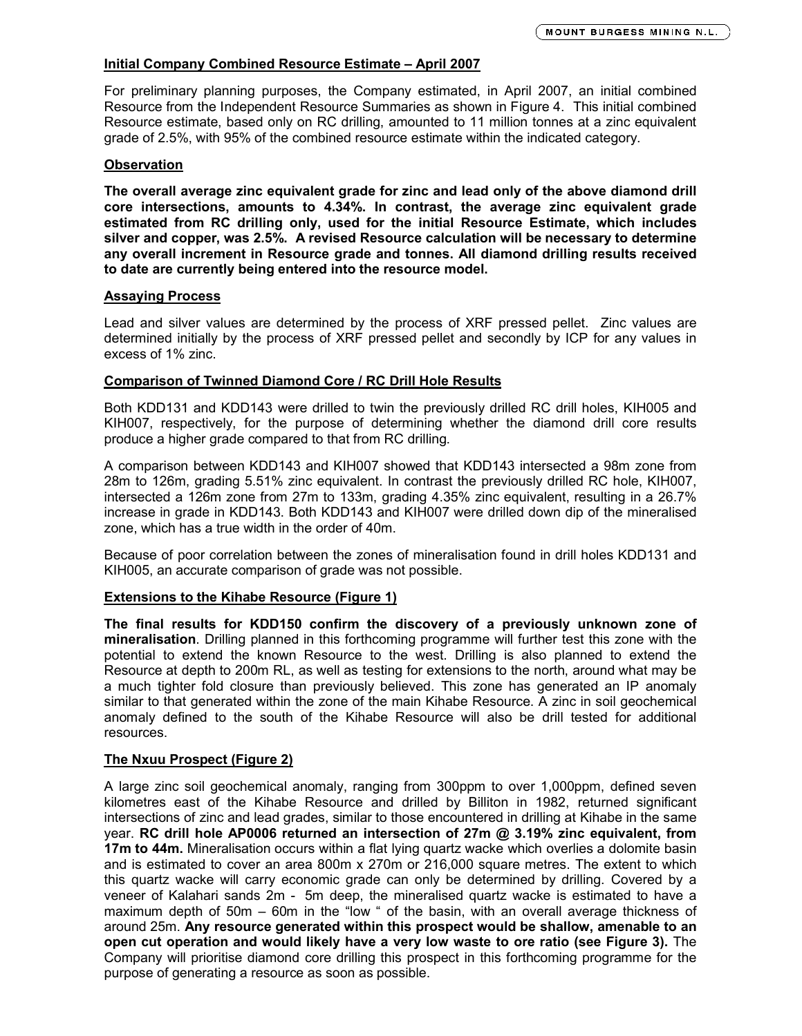### **Initial Company Combined Resource Estimate – April 2007**

For preliminary planning purposes, the Company estimated, in April 2007, an initial combined Resource from the Independent Resource Summaries as shown in Figure 4. This initial combined Resource estimate, based only on RC drilling, amounted to 11 million tonnes at a zinc equivalent grade of 2.5%, with 95% of the combined resource estimate within the indicated category.

### **Observation**

**The overall average zinc equivalent grade for zinc and lead only of the above diamond drill core intersections, amounts to 4.34%. In contrast, the average zinc equivalent grade estimated from RC drilling only, used for the initial Resource Estimate, which includes silver and copper, was 2.5%. A revised Resource calculation will be necessary to determine any overall increment in Resource grade and tonnes. All diamond drilling results received to date are currently being entered into the resource model.**

### **Assaying Process**

Lead and silver values are determined by the process of XRF pressed pellet. Zinc values are determined initially by the process of XRF pressed pellet and secondly by ICP for any values in excess of 1% zinc.

### **Comparison of Twinned Diamond Core / RC Drill Hole Results**

Both KDD131 and KDD143 were drilled to twin the previously drilled RC drill holes, KIH005 and KIH007, respectively, for the purpose of determining whether the diamond drill core results produce a higher grade compared to that from RC drilling.

A comparison between KDD143 and KIH007 showed that KDD143 intersected a 98m zone from 28m to 126m, grading 5.51% zinc equivalent. In contrast the previously drilled RC hole, KIH007, intersected a 126m zone from 27m to 133m, grading 4.35% zinc equivalent, resulting in a 26.7% increase in grade in KDD143. Both KDD143 and KIH007 were drilled down dip of the mineralised zone, which has a true width in the order of 40m.

Because of poor correlation between the zones of mineralisation found in drill holes KDD131 and KIH005, an accurate comparison of grade was not possible.

## **Extensions to the Kihabe Resource (Figure 1)**

**The final results for KDD150 confirm the discovery of a previously unknown zone of mineralisation**. Drilling planned in this forthcoming programme will further test this zone with the potential to extend the known Resource to the west. Drilling is also planned to extend the Resource at depth to 200m RL, as well as testing for extensions to the north, around what may be a much tighter fold closure than previously believed. This zone has generated an IP anomaly similar to that generated within the zone of the main Kihabe Resource. A zinc in soil geochemical anomaly defined to the south of the Kihabe Resource will also be drill tested for additional resources.

## **The Nxuu Prospect (Figure 2)**

A large zinc soil geochemical anomaly, ranging from 300ppm to over 1,000ppm, defined seven kilometres east of the Kihabe Resource and drilled by Billiton in 1982, returned significant intersections of zinc and lead grades, similar to those encountered in drilling at Kihabe in the same year. **RC drill hole AP0006 returned an intersection of 27m @ 3.19% zinc equivalent, from 17m to 44m.** Mineralisation occurs within a flat lying quartz wacke which overlies a dolomite basin and is estimated to cover an area 800m x 270m or 216,000 square metres. The extent to which this quartz wacke will carry economic grade can only be determined by drilling. Covered by a veneer of Kalahari sands 2m - 5m deep, the mineralised quartz wacke is estimated to have a maximum depth of 50m – 60m in the "low " of the basin, with an overall average thickness of around 25m. **Any resource generated within this prospect would be shallow, amenable to an open cut operation and would likely have a very low waste to ore ratio (see Figure 3).** The Company will prioritise diamond core drilling this prospect in this forthcoming programme for the purpose of generating a resource as soon as possible.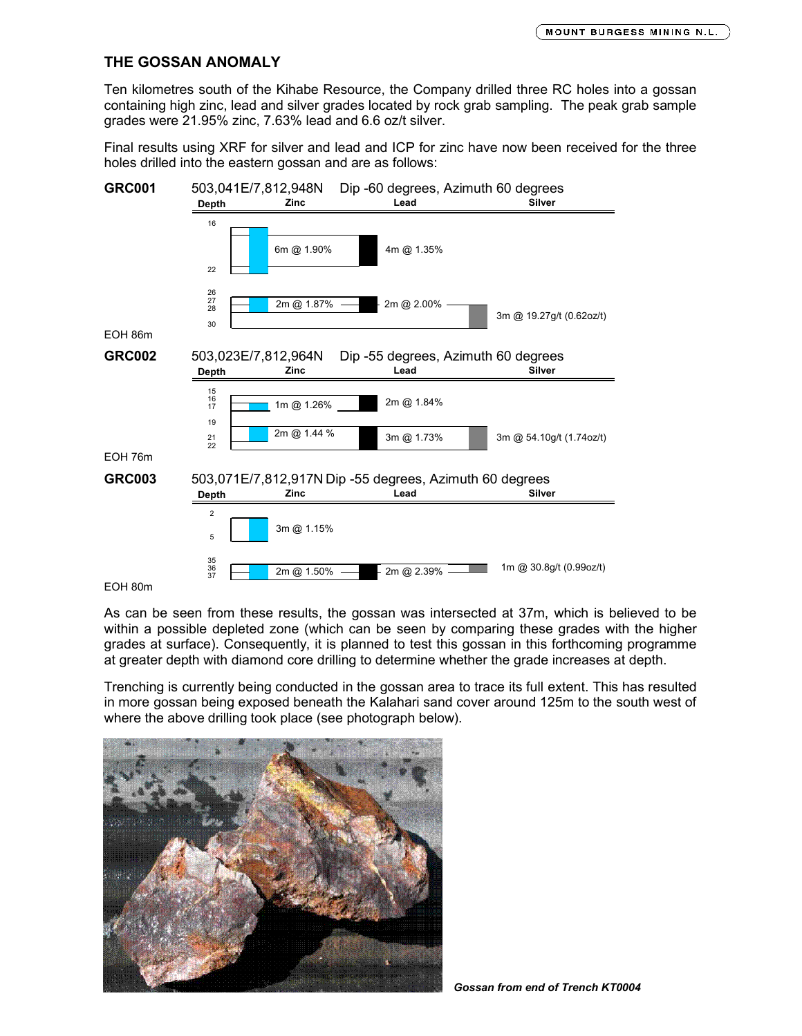## **THE GOSSAN ANOMALY**

Ten kilometres south of the Kihabe Resource, the Company drilled three RC holes into a gossan containing high zinc, lead and silver grades located by rock grab sampling. The peak grab sample grades were 21.95% zinc, 7.63% lead and 6.6 oz/t silver.

Final results using XRF for silver and lead and ICP for zinc have now been received for the three holes drilled into the eastern gossan and are as follows:



EOH 80m

As can be seen from these results, the gossan was intersected at 37m, which is believed to be within a possible depleted zone (which can be seen by comparing these grades with the higher grades at surface). Consequently, it is planned to test this gossan in this forthcoming programme at greater depth with diamond core drilling to determine whether the grade increases at depth.

Trenching is currently being conducted in the gossan area to trace its full extent. This has resulted in more gossan being exposed beneath the Kalahari sand cover around 125m to the south west of where the above drilling took place (see photograph below).

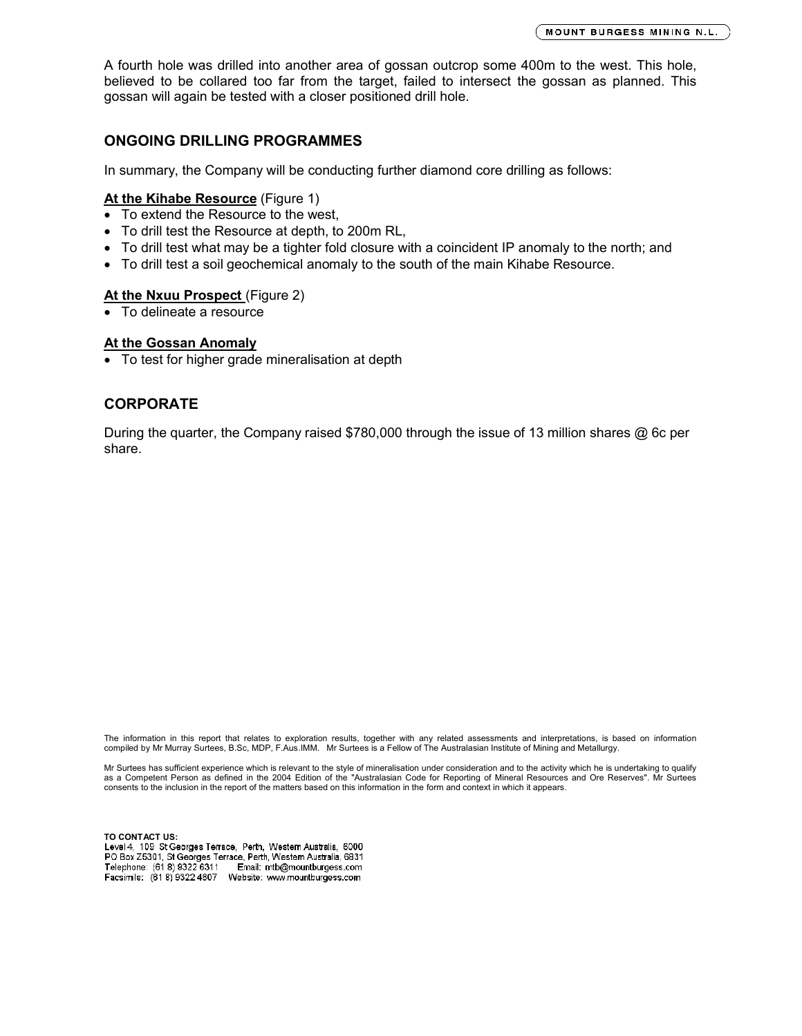A fourth hole was drilled into another area of gossan outcrop some 400m to the west. This hole, believed to be collared too far from the target, failed to intersect the gossan as planned. This gossan will again be tested with a closer positioned drill hole.

### **ONGOING DRILLING PROGRAMMES**

In summary, the Company will be conducting further diamond core drilling as follows:

### **At the Kihabe Resource** (Figure 1)

- To extend the Resource to the west,
- To drill test the Resource at depth, to 200m RL,
- To drill test what may be a tighter fold closure with a coincident IP anomaly to the north; and
- To drill test a soil geochemical anomaly to the south of the main Kihabe Resource.

### At the Nxuu Prospect (Figure 2)

To delineate a resource

### **At the Gossan Anomaly**

To test for higher grade mineralisation at depth

## **CORPORATE**

During the quarter, the Company raised \$780,000 through the issue of 13 million shares @ 6c per share.

The information in this report that relates to exploration results, together with any related assessments and interpretations, is based on information compiled by Mr Murray Surtees, B.Sc, MDP, F.Aus.IMM. Mr Surtees is a Fellow of The Australasian Institute of Mining and Metallurgy.

Mr Surtees has sufficient experience which is relevant to the style of mineralisation under consideration and to the activity which he is undertaking to qualify<br>as a Competent Person as defined in the 2004 Edition of the " consents to the inclusion in the report of the matters based on this information in the form and context in which it appears.

**TO CONTACT US:**PO Box Z5301, St Georges Terrace, Perth, Western Australia, 6831 Telephone: (61 8) 9322 6311 Email: mtb@mountburgess.com Facsimile: (61 8) 9322 4607 Website: www.mountburgess.com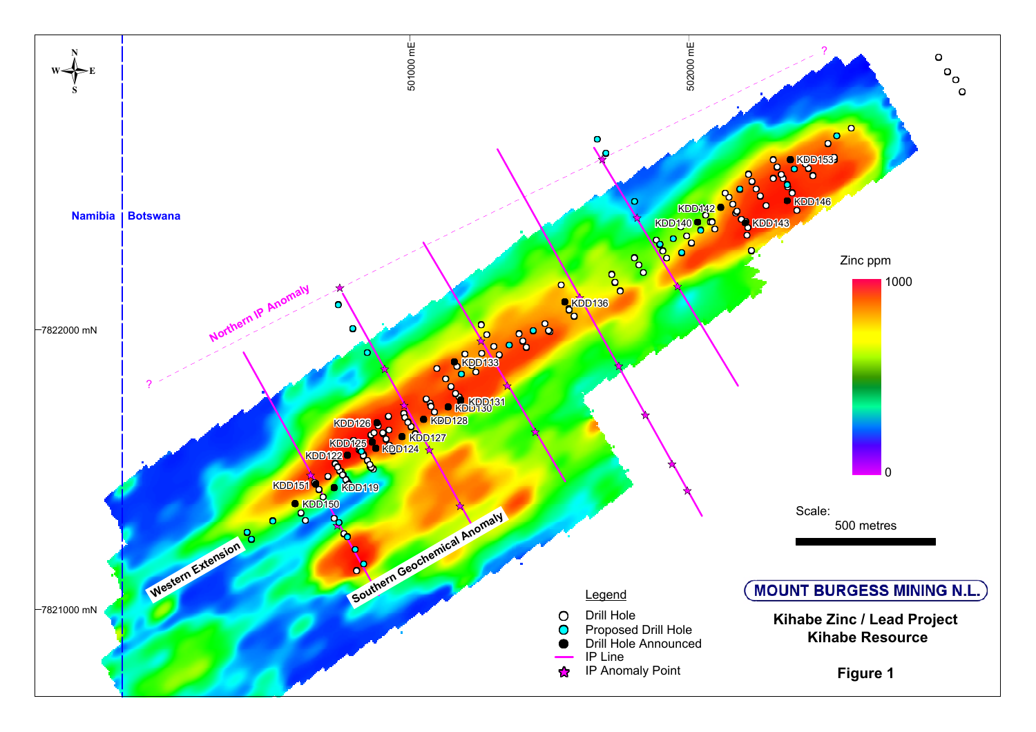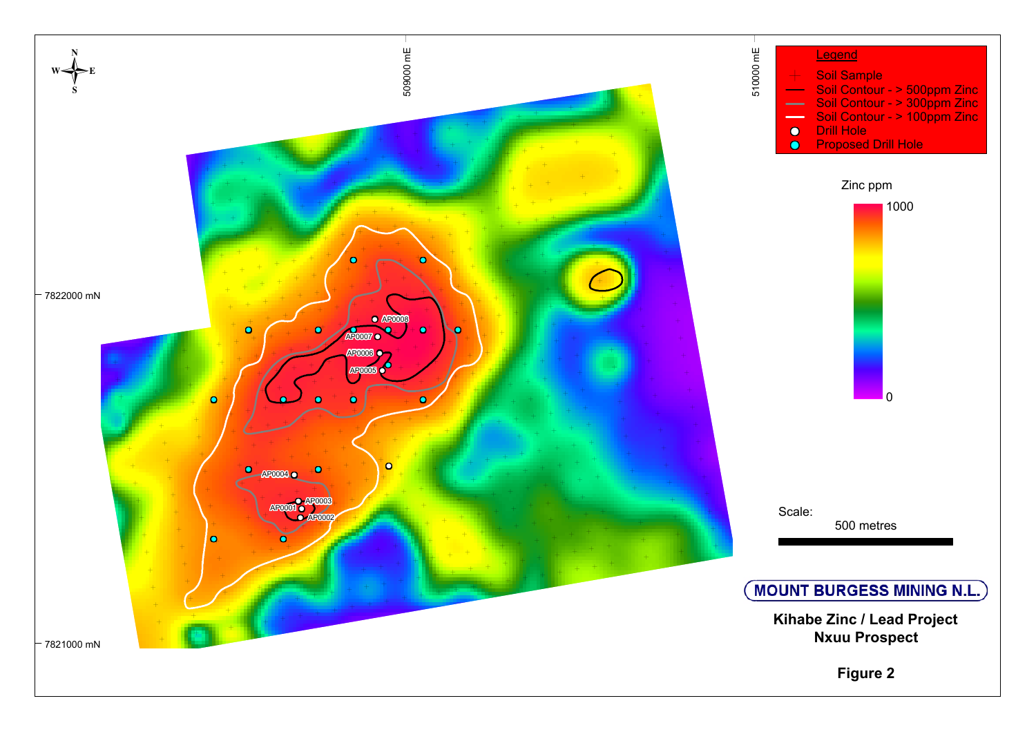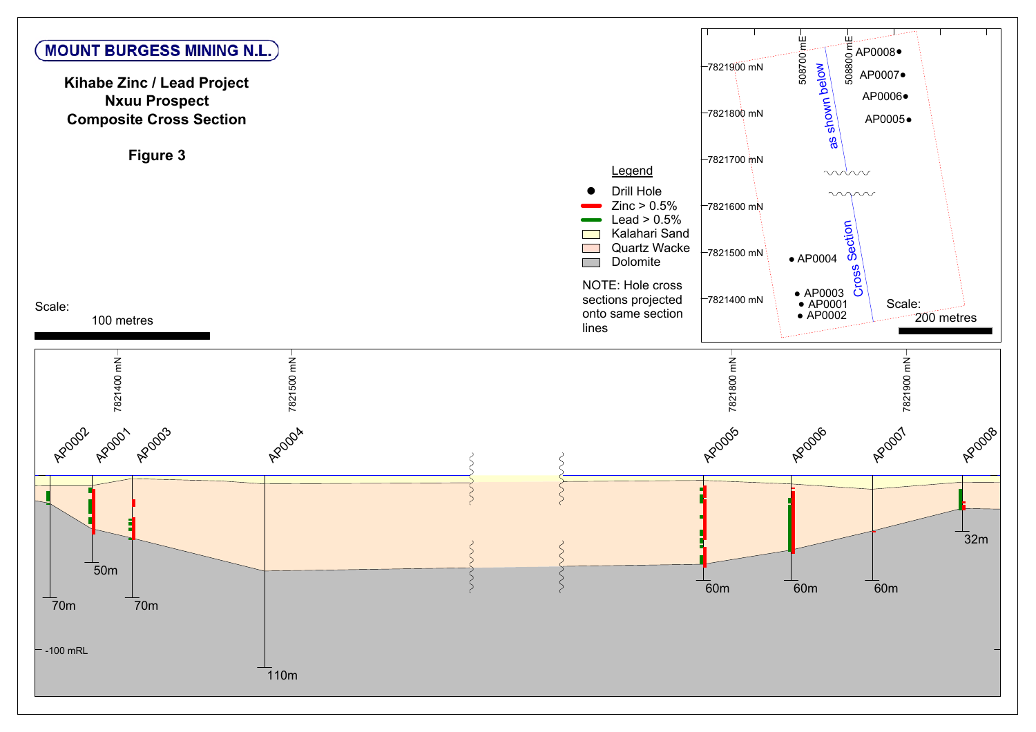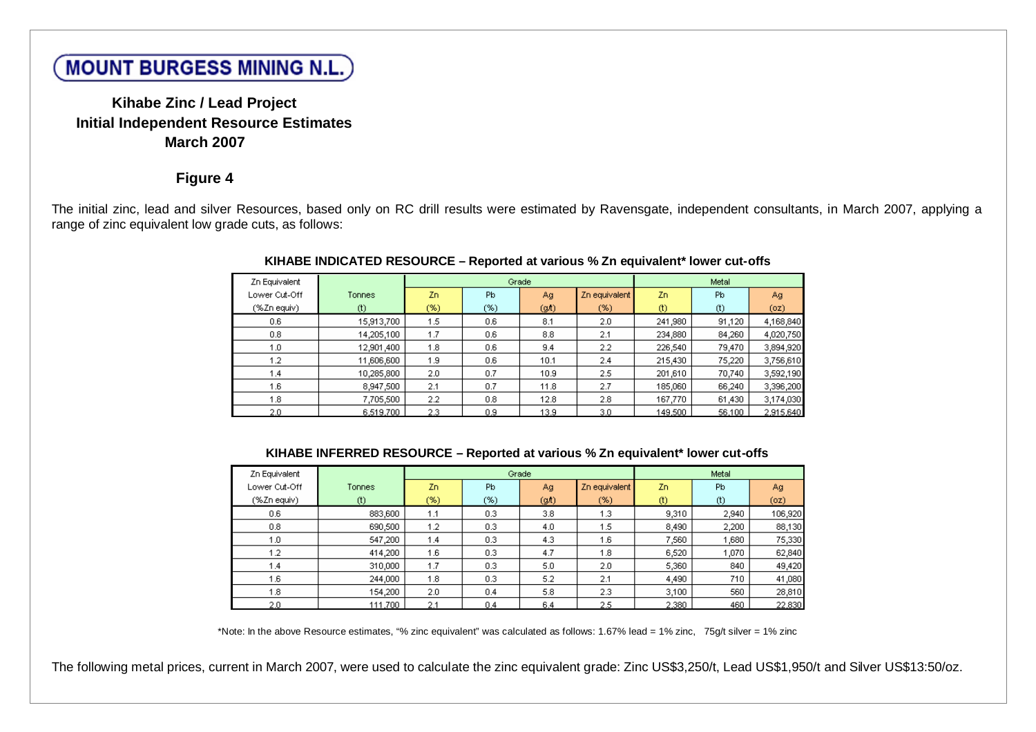# **MOUNT BURGESS MINING N.L.**

# **Kihabe Zinc / Lead Project Initial Independent Resource Estimates March 2007**

# **Figure 4**

The initial zinc, lead and silver Resources, based only on RC drill results were estimated by Ravensgate, independent consultants, in March 2007, applying a range of zinc equivalent low grade cuts, as follows:

| Zn Equivalent |            |     | Grade |                   |               |         | Metal  |           |
|---------------|------------|-----|-------|-------------------|---------------|---------|--------|-----------|
| Lower Cut-Off | Tonnes     | Zn. | Pb    | Ag                | Zn equivalent | Zn.     | Pb     | Ag        |
| (%Zn equiv)   | $(t)$      | (%) | (%)   | (g <sub>h</sub> ) | (%)           | $(t)$   | $(t)$  | (oz)      |
| 0.6           | 15,913,700 | 1.5 | 0.6   | 8.1               | 2.0           | 241,980 | 91,120 | 4,168,840 |
| 0.8           | 14,205,100 | 1.7 | 0.6   | 8.8               | 2.1           | 234,880 | 84,260 | 4,020,750 |
| 1.0           | 12,901,400 | 1.8 | 0.6   | 9.4               | 2.2           | 226,540 | 79,470 | 3,894,920 |
| 1.2           | 11,606,600 | 1.9 | 0.6   | 10.1              | 2.4           | 215,430 | 75,220 | 3,756,610 |
| 1.4           | 10,285,800 | 2.0 | 0.7   | 10.9              | 2.5           | 201,610 | 70,740 | 3,592,190 |
| 1.6           | 8,947,500  | 2.1 | 0.7   | 11.8              | 2.7           | 185,060 | 66,240 | 3,396,200 |
| 1.8           | 7,705,500  | 2.2 | 0.8   | 12.8              | 2.8           | 167,770 | 61,430 | 3,174,030 |
| 2.0           | 6,519,700  | 2.3 | 0.9   | 13.9              | 3.0           | 149,500 | 56,100 | 2,915,640 |

### **KIHABE INDICATED RESOURCE – Reported at various % Zn equivalent\* lower cut-offs**

### **KIHABE INFERRED RESOURCE – Reported at various % Zn equivalent\* lower cut-offs**

| Zn Equivalent |         |        | Grade |                   |               |       | Metal |         |
|---------------|---------|--------|-------|-------------------|---------------|-------|-------|---------|
| Lower Cut-Off | Tonnes  | Zn.    | Pb.   | Ag.               | Zn equivalent | Zn.   | Pb    | Ag      |
| (%Zn equiv)   | $(t)$   | $(\%)$ | $(*)$ | (9 <sub>l</sub> ) | (%)           | $(t)$ | $(t)$ | (oz)    |
| 0.6           | 883,600 | 1.1    | 0.3   | 3.8               | 1.3           | 9,310 | 2,940 | 106,920 |
| 0.8           | 690,500 | 1.2    | 0.3   | 4.0               | 1.5           | 8,490 | 2,200 | 88,130  |
| 1.0           | 547,200 | 1.4    | 0.3   | 4.3               | 1.6           | 7,560 | 1,680 | 75,330  |
| 1.2           | 414,200 | 1.6    | 0.3   | 4.7               | 1.8           | 6,520 | 1,070 | 62,840  |
| 1.4           | 310,000 | 1.7    | 0.3   | 5.0               | 2.0           | 5,360 | 840   | 49,420  |
| 1.6           | 244,000 | 1.8    | 0.3   | 5.2               | 2.1           | 4,490 | 710   | 41,080  |
| 1.8           | 154,200 | 2.0    | 0.4   | 5.8               | 2.3           | 3,100 | 560   | 28,810  |
| 2.0           | 111.700 | 2.1    | 0.4   | 6.4               | 2.5           | 2.380 | 460   | 22,830  |

\*Note: In the above Resource estimates, "% zinc equivalent" was calculated as follows: 1.67% lead = 1% zinc, 75g/t silver = 1% zinc

The following metal prices, current in March 2007, were used to calculate the zinc equivalent grade: Zinc US\$3,250/t, Lead US\$1,950/t and Silver US\$13:50/oz.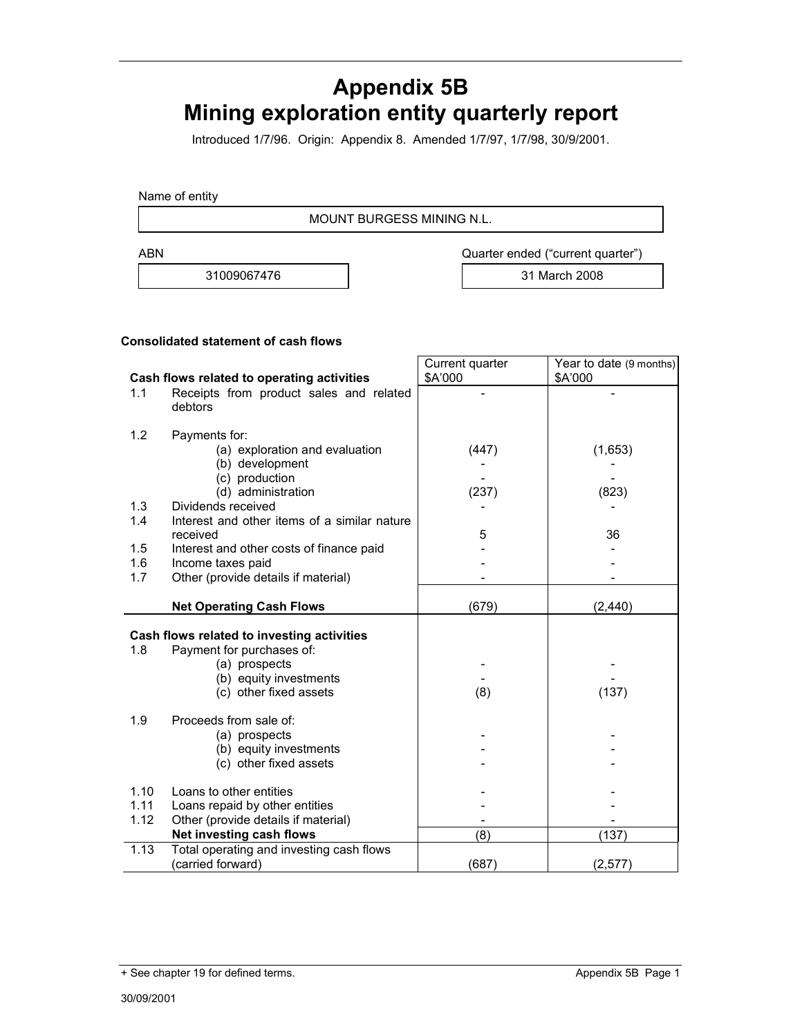# **Appendix 5B Mining exploration entity quarterly report**

Introduced 1/7/96. Origin: Appendix 8. Amended 1/7/97, 1/7/98, 30/9/2001.

Name of entity

MOUNT BURGESS MINING N.L.

31009067476 31 March 2008

ABN **ABN** Quarter ended ("current quarter")

### **Consolidated statement of cash flows**

|              |                                                                       | Current quarter | Year to date (9 months) |
|--------------|-----------------------------------------------------------------------|-----------------|-------------------------|
|              | Cash flows related to operating activities                            | \$A'000         | \$A'000                 |
| 1.1          | Receipts from product sales and related<br>debtors                    |                 |                         |
| 1.2          | Payments for:                                                         |                 |                         |
|              | (a) exploration and evaluation                                        | (447)           | (1,653)                 |
|              | (b) development                                                       |                 |                         |
|              | (c) production                                                        |                 |                         |
|              | (d) administration                                                    | (237)           | (823)                   |
| 1.3          | Dividends received                                                    |                 |                         |
| 1.4          | Interest and other items of a similar nature<br>received              | 5               | 36                      |
| 1.5          | Interest and other costs of finance paid                              |                 |                         |
| 1.6          | Income taxes paid                                                     |                 |                         |
| 1.7          | Other (provide details if material)                                   |                 |                         |
|              |                                                                       |                 |                         |
|              | <b>Net Operating Cash Flows</b>                                       | (679)           | (2, 440)                |
|              | Cash flows related to investing activities                            |                 |                         |
| 1.8          | Payment for purchases of:                                             |                 |                         |
|              | (a) prospects                                                         |                 |                         |
|              | (b) equity investments                                                |                 |                         |
|              | (c) other fixed assets                                                | (8)             | (137)                   |
| 1.9          | Proceeds from sale of:                                                |                 |                         |
|              | (a) prospects                                                         |                 |                         |
|              | (b) equity investments                                                |                 |                         |
|              | (c) other fixed assets                                                |                 |                         |
|              |                                                                       |                 |                         |
|              |                                                                       |                 |                         |
| 1.10<br>1.11 | Loans to other entities                                               |                 |                         |
| 1.12         | Loans repaid by other entities<br>Other (provide details if material) |                 |                         |
|              | Net investing cash flows                                              | (8)             | (137)                   |
| 1.13         | Total operating and investing cash flows<br>(carried forward)         | (687)           | (2, 577)                |

<sup>+</sup> See chapter 19 for defined terms. Appendix 5B Page 1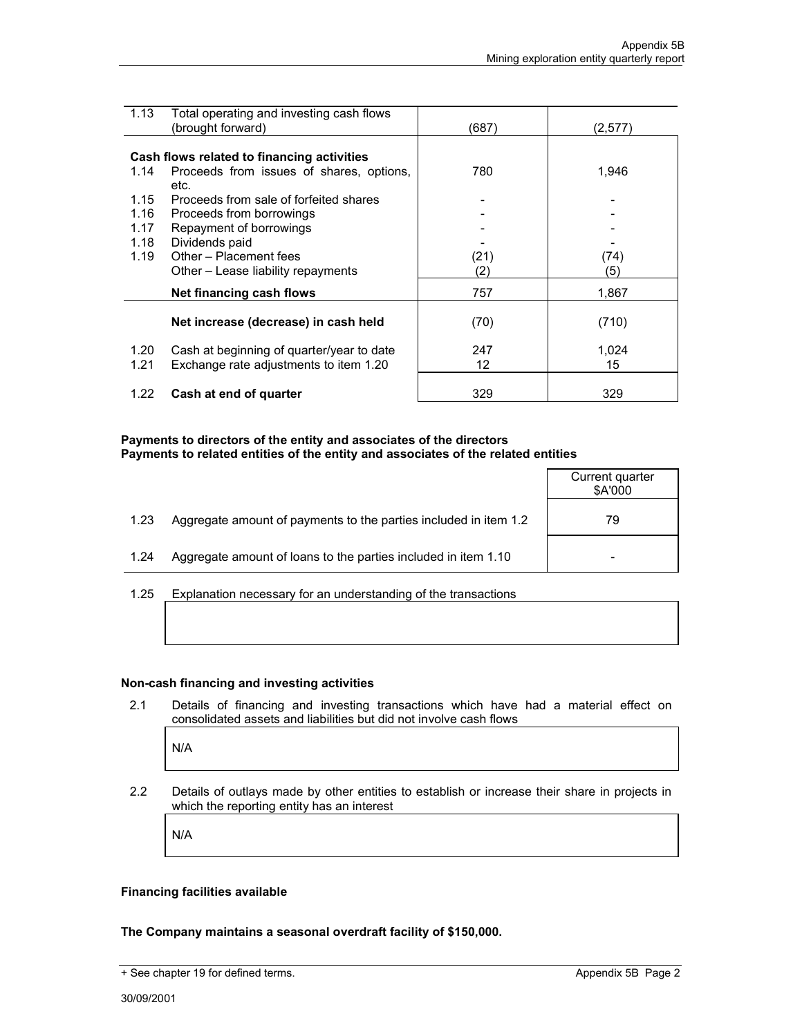| 1.13         | Total operating and investing cash flows<br>(brought forward)                       | (687 | (2,577)     |
|--------------|-------------------------------------------------------------------------------------|------|-------------|
|              |                                                                                     |      |             |
|              | Cash flows related to financing activities                                          |      |             |
| 1.14         | Proceeds from issues of shares, options,                                            | 780  | 1,946       |
|              | etc.                                                                                |      |             |
| 1.15         | Proceeds from sale of forfeited shares                                              |      |             |
| 1.16         | Proceeds from borrowings                                                            |      |             |
| 1.17         | Repayment of borrowings                                                             |      |             |
| 1.18         | Dividends paid                                                                      |      |             |
| 1.19         | Other - Placement fees                                                              | (21) | (74)        |
|              | Other – Lease liability repayments                                                  | (2)  | (5)         |
|              | Net financing cash flows                                                            | 757  | 1,867       |
|              |                                                                                     |      |             |
|              | Net increase (decrease) in cash held                                                | (70) | (710)       |
|              |                                                                                     | 247  |             |
| 1.20<br>1.21 | Cash at beginning of quarter/year to date<br>Exchange rate adjustments to item 1.20 | 12   | 1,024<br>15 |
|              |                                                                                     |      |             |
| 1.22         | Cash at end of quarter                                                              | 329  | 329         |
|              |                                                                                     |      |             |

### **Payments to directors of the entity and associates of the directors Payments to related entities of the entity and associates of the related entities**

|                      |                                                                                                                                                                                                                               | Current quarter<br>\$A'000 |
|----------------------|-------------------------------------------------------------------------------------------------------------------------------------------------------------------------------------------------------------------------------|----------------------------|
| 1.23                 | Aggregate amount of payments to the parties included in item 1.2                                                                                                                                                              | 79                         |
| 1.24                 | Aggregate amount of loans to the parties included in item 1.10                                                                                                                                                                |                            |
| $\sim$ $\sim$ $\sim$ | For a lease of the company of the company of the company of the company of the company of the company of the company of the company of the company of the company of the company of the company of the company of the company |                            |

1.25 Explanation necessary for an understanding of the transactions

### **Non-cash financing and investing activities**

2.1 Details of financing and investing transactions which have had a material effect on consolidated assets and liabilities but did not involve cash flows

N/A

2.2 Details of outlays made by other entities to establish or increase their share in projects in which the reporting entity has an interest

N/A

### **Financing facilities available**

**The Company maintains a seasonal overdraft facility of \$150,000.**

<sup>+</sup> See chapter 19 for defined terms. Appendix 5B Page 2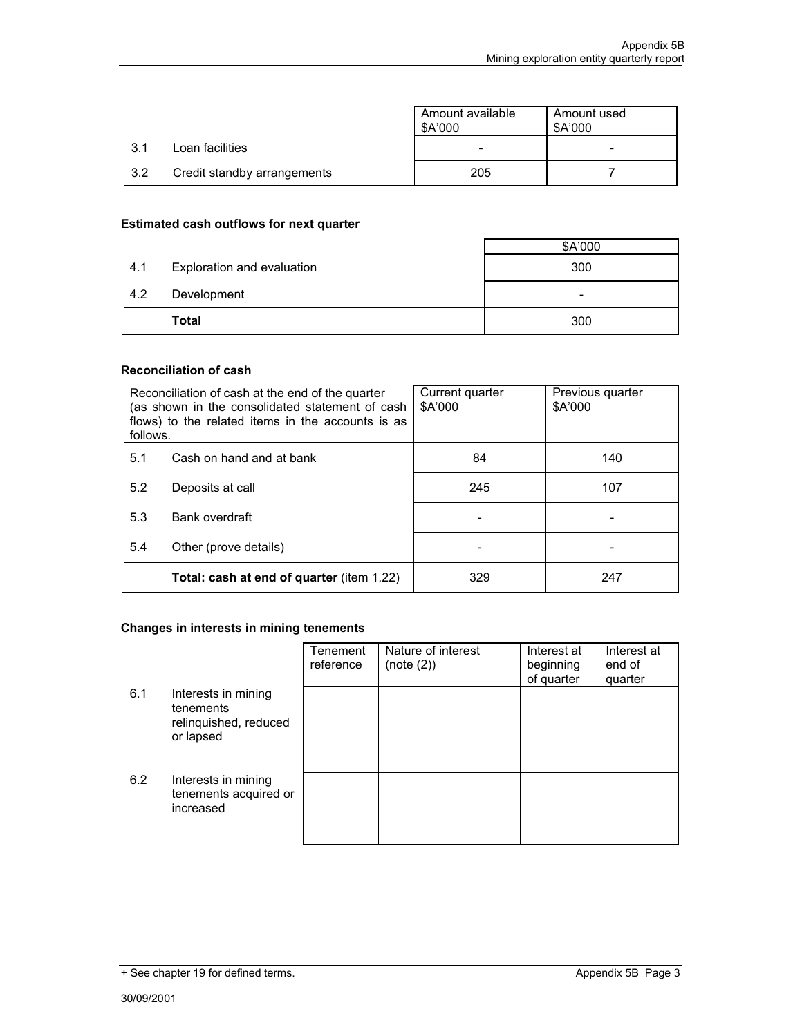|     |                             | Amount available<br>\$A'000 | Amount used<br>\$A'000 |
|-----|-----------------------------|-----------------------------|------------------------|
| 3.1 | Loan facilities             |                             | -                      |
| 3.2 | Credit standby arrangements | 205                         |                        |

### **Estimated cash outflows for next quarter**

| 4.1 | Exploration and evaluation | 300      |
|-----|----------------------------|----------|
| 4.2 | Development<br>Total       | -<br>300 |

### **Reconciliation of cash**

| follows. | Reconciliation of cash at the end of the quarter<br>(as shown in the consolidated statement of cash<br>flows) to the related items in the accounts is as | Current quarter<br>\$A'000 | Previous quarter<br>\$A'000 |
|----------|----------------------------------------------------------------------------------------------------------------------------------------------------------|----------------------------|-----------------------------|
| 5.1      | Cash on hand and at bank                                                                                                                                 | 84                         | 140                         |
| 5.2      | Deposits at call                                                                                                                                         | 245                        | 107                         |
| 5.3      | Bank overdraft                                                                                                                                           |                            |                             |
| 5.4      | Other (prove details)                                                                                                                                    |                            |                             |
|          | <b>Total: cash at end of quarter (item 1.22)</b>                                                                                                         | 329                        | 247                         |

# **Changes in interests in mining tenements**

|     |                                                                        | Tenement<br>reference | Nature of interest<br>(note (2)) | Interest at<br>beginning<br>of quarter | Interest at<br>end of<br>quarter |
|-----|------------------------------------------------------------------------|-----------------------|----------------------------------|----------------------------------------|----------------------------------|
| 6.1 | Interests in mining<br>tenements<br>relinquished, reduced<br>or lapsed |                       |                                  |                                        |                                  |
| 6.2 | Interests in mining<br>tenements acquired or<br>increased              |                       |                                  |                                        |                                  |

<sup>+</sup> See chapter 19 for defined terms. Appendix 5B Page 3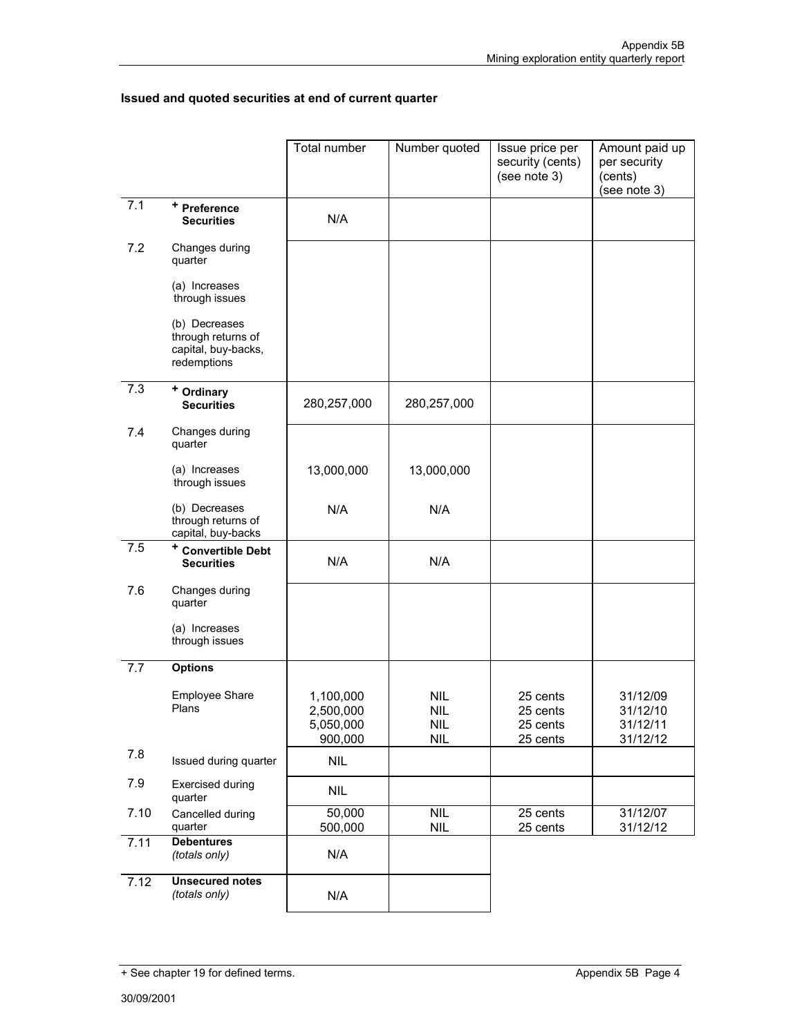# **Issued and quoted securities at end of current quarter**

|      |                                                                           | Total number                                   | Number quoted                                            | Issue price per<br>security (cents)<br>(see note 3) | Amount paid up<br>per security<br>(cents)<br>(see note 3) |
|------|---------------------------------------------------------------------------|------------------------------------------------|----------------------------------------------------------|-----------------------------------------------------|-----------------------------------------------------------|
| 7.1  | + Preference<br><b>Securities</b>                                         | N/A                                            |                                                          |                                                     |                                                           |
| 7.2  | Changes during<br>quarter                                                 |                                                |                                                          |                                                     |                                                           |
|      | (a) Increases<br>through issues                                           |                                                |                                                          |                                                     |                                                           |
|      | (b) Decreases<br>through returns of<br>capital, buy-backs,<br>redemptions |                                                |                                                          |                                                     |                                                           |
| 7.3  | <sup>+</sup> Ordinary<br><b>Securities</b>                                | 280,257,000                                    | 280,257,000                                              |                                                     |                                                           |
| 7.4  | Changes during<br>quarter                                                 |                                                |                                                          |                                                     |                                                           |
|      | (a) Increases<br>through issues                                           | 13,000,000                                     | 13,000,000                                               |                                                     |                                                           |
|      | (b) Decreases<br>through returns of<br>capital, buy-backs                 | N/A                                            | N/A                                                      |                                                     |                                                           |
| 7.5  | <sup>+</sup> Convertible Debt<br><b>Securities</b>                        | N/A                                            | N/A                                                      |                                                     |                                                           |
| 7.6  | Changes during<br>quarter                                                 |                                                |                                                          |                                                     |                                                           |
|      | (a) Increases<br>through issues                                           |                                                |                                                          |                                                     |                                                           |
| 7.7  | <b>Options</b>                                                            |                                                |                                                          |                                                     |                                                           |
|      | <b>Employee Share</b><br>Plans                                            | 1,100,000<br>2,500,000<br>5,050,000<br>900,000 | <b>NIL</b><br>NIL.<br>$\ensuremath{\mathsf{NIL}}$<br>NIL | 25 cents<br>25 cents<br>25 cents<br>25 cents        | 31/12/09<br>31/12/10<br>31/12/11<br>31/12/12              |
| 7.8  | Issued during quarter                                                     | <b>NIL</b>                                     |                                                          |                                                     |                                                           |
| 7.9  | <b>Exercised during</b><br>quarter                                        | <b>NIL</b>                                     |                                                          |                                                     |                                                           |
| 7.10 | Cancelled during<br>quarter                                               | 50,000<br>500,000                              | <b>NIL</b><br><b>NIL</b>                                 | 25 cents<br>25 cents                                | 31/12/07<br>31/12/12                                      |
| 7.11 | <b>Debentures</b><br>(totals only)                                        | N/A                                            |                                                          |                                                     |                                                           |
| 7.12 | <b>Unsecured notes</b><br>(totals only)                                   | N/A                                            |                                                          |                                                     |                                                           |

<sup>+</sup> See chapter 19 for defined terms. Appendix 5B Page 4